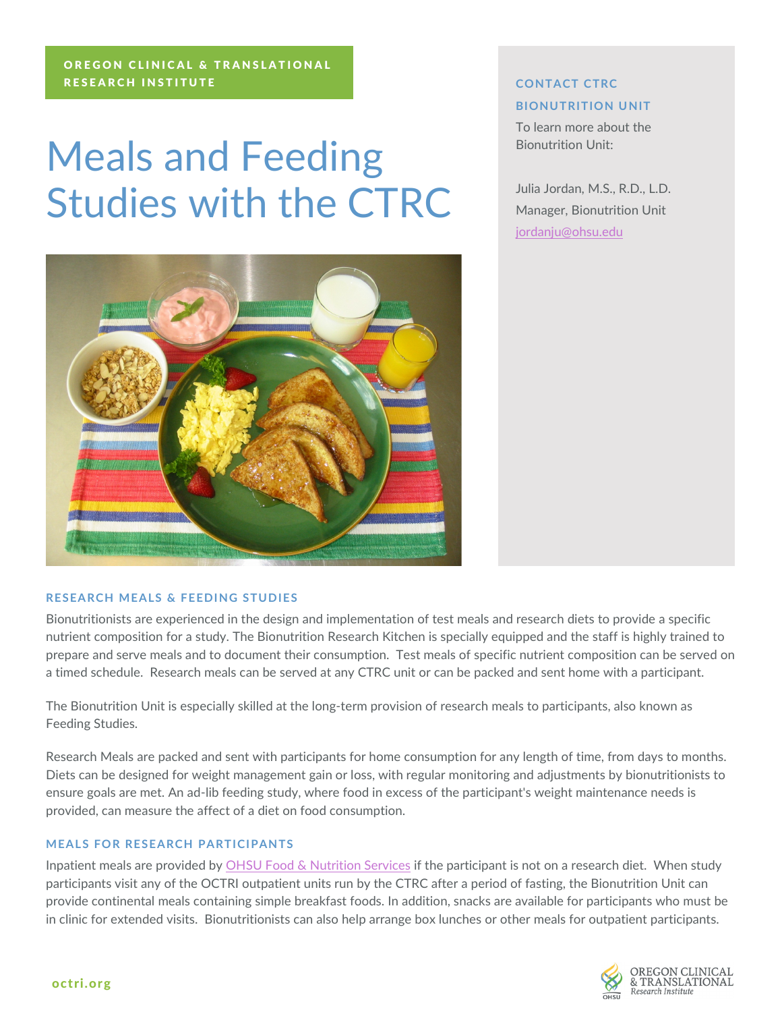#### OREGON CLINICAL & TRANSLATIONAL RESEARCH INSTITUTE

# Meals and Feeding Studies with the CTRC



#### **RESEARCH MEALS & FEEDING STUDIES**

Bionutritionists are experienced in the design and implementation of test meals and research diets to provide a specific nutrient composition for a study. The Bionutrition Research Kitchen is specially equipped and the staff is highly trained to prepare and serve meals and to document their consumption. Test meals of specific nutrient composition can be served on a timed schedule. Research meals can be served at any CTRC unit or can be packed and sent home with a participant.

The Bionutrition Unit is especially skilled at the long-term provision of research meals to participants, also known as Feeding Studies.

Research Meals are packed and sent with participants for home consumption for any length of time, from days to months. Diets can be designed for weight management gain or loss, with regular monitoring and adjustments by bionutritionists to ensure goals are met. An ad-lib feeding study, where food in excess of the participant's weight maintenance needs is provided, can measure the affect of a diet on food consumption.

#### **MEALS FOR RESEARCH PARTICIPANTS**

Inpatient meals are provided by [OHSU Food & Nutrition Services](http://www.ohsu.edu/food/) if the participant is not on a research diet. When study participants visit any of the OCTRI outpatient units run by the CTRC after a period of fasting, the Bionutrition Unit can provide continental meals containing simple breakfast foods. In addition, snacks are available for participants who must be in clinic for extended visits. Bionutritionists can also help arrange box lunches or other meals for outpatient participants.

## **BIONUTRITION UNIT** To learn more about the Bionutrition Unit:

Julia Jordan, M.S., R.D., L.D. Manager, Bionutrition Unit [jordanju@ohsu.edu](mailto:jordanju@ohsu.edu)

**CONTACT CTRC**